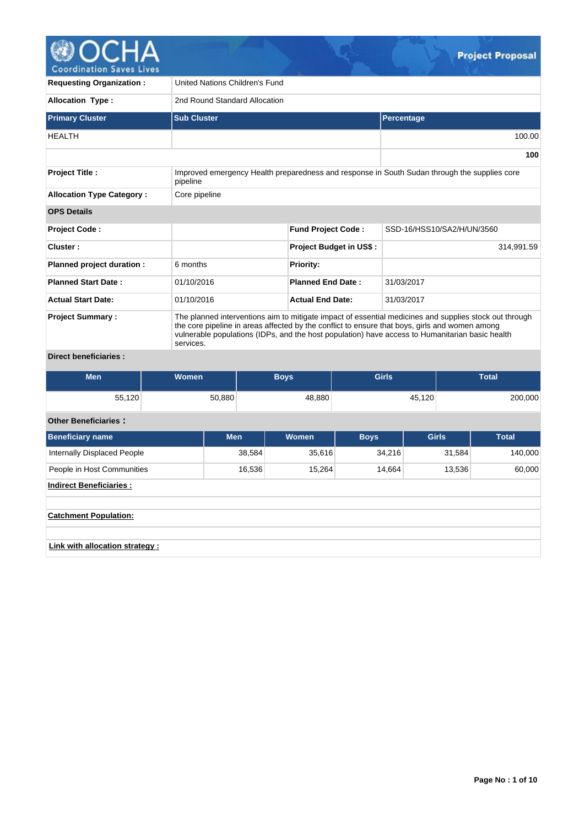

| <b>Requesting Organization:</b>  | United Nations Children's Fund                                                                                                                                                                                                                                                                                           |                                |                                                                                              |  |  |  |  |  |  |
|----------------------------------|--------------------------------------------------------------------------------------------------------------------------------------------------------------------------------------------------------------------------------------------------------------------------------------------------------------------------|--------------------------------|----------------------------------------------------------------------------------------------|--|--|--|--|--|--|
| <b>Allocation Type:</b>          | 2nd Round Standard Allocation                                                                                                                                                                                                                                                                                            |                                |                                                                                              |  |  |  |  |  |  |
| <b>Primary Cluster</b>           | <b>Sub Cluster</b>                                                                                                                                                                                                                                                                                                       | Percentage                     |                                                                                              |  |  |  |  |  |  |
| <b>HEALTH</b>                    |                                                                                                                                                                                                                                                                                                                          |                                | 100.00                                                                                       |  |  |  |  |  |  |
|                                  |                                                                                                                                                                                                                                                                                                                          |                                | 100                                                                                          |  |  |  |  |  |  |
| <b>Project Title:</b>            | pipeline                                                                                                                                                                                                                                                                                                                 |                                | Improved emergency Health preparedness and response in South Sudan through the supplies core |  |  |  |  |  |  |
| <b>Allocation Type Category:</b> | Core pipeline                                                                                                                                                                                                                                                                                                            |                                |                                                                                              |  |  |  |  |  |  |
| <b>OPS Details</b>               |                                                                                                                                                                                                                                                                                                                          |                                |                                                                                              |  |  |  |  |  |  |
| <b>Project Code:</b>             |                                                                                                                                                                                                                                                                                                                          | <b>Fund Project Code:</b>      | SSD-16/HSS10/SA2/H/UN/3560                                                                   |  |  |  |  |  |  |
| Cluster:                         |                                                                                                                                                                                                                                                                                                                          | <b>Project Budget in US\$:</b> | 314,991.59                                                                                   |  |  |  |  |  |  |
| Planned project duration :       | 6 months                                                                                                                                                                                                                                                                                                                 | <b>Priority:</b>               |                                                                                              |  |  |  |  |  |  |
| <b>Planned Start Date:</b>       | 01/10/2016                                                                                                                                                                                                                                                                                                               | <b>Planned End Date:</b>       | 31/03/2017                                                                                   |  |  |  |  |  |  |
| <b>Actual Start Date:</b>        | 01/10/2016                                                                                                                                                                                                                                                                                                               | <b>Actual End Date:</b>        | 31/03/2017                                                                                   |  |  |  |  |  |  |
| <b>Project Summary:</b>          | The planned interventions aim to mitigate impact of essential medicines and supplies stock out through<br>the core pipeline in areas affected by the conflict to ensure that boys, girls and women among<br>vulnerable populations (IDPs, and the host population) have access to Humanitarian basic health<br>services. |                                |                                                                                              |  |  |  |  |  |  |

# **Direct beneficiaries :**

| <b>Men</b> | Women <sup>1</sup> | <b>Boys</b> | <b>Girls</b> | <b>Total</b> |
|------------|--------------------|-------------|--------------|--------------|
| 55,120     | 50,880             | 48,880      | 45,120       | 200,000      |

# **Other Beneficiaries :**

| <b>Beneficiary name</b>            | <b>Men</b> | Women  | <b>Boys</b> | <b>Girls</b> | <b>Total</b> |
|------------------------------------|------------|--------|-------------|--------------|--------------|
| <b>Internally Displaced People</b> | 38,584     | 35,616 | 34,216      | 31,584       | 140,000      |
| People in Host Communities         | 16,536     | 15,264 | 14,664      | 13,536       | 60,000       |
| <b>Indirect Beneficiaries:</b>     |            |        |             |              |              |
|                                    |            |        |             |              |              |
| <b>Catchment Population:</b>       |            |        |             |              |              |
|                                    |            |        |             |              |              |
| Link with allocation strategy :    |            |        |             |              |              |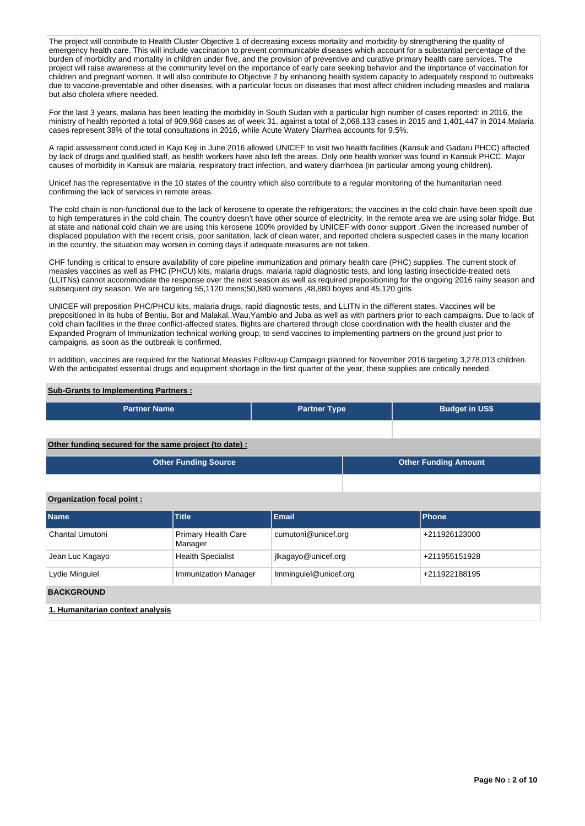The project will contribute to Health Cluster Objective 1 of decreasing excess mortality and morbidity by strengthening the quality of emergency health care. This will include vaccination to prevent communicable diseases which account for a substantial percentage of the burden of morbidity and mortality in children under five, and the provision of preventive and curative primary health care services. The project will raise awareness at the community level on the importance of early care seeking behavior and the importance of vaccination for children and pregnant women. It will also contribute to Objective 2 by enhancing health system capacity to adequately respond to outbreaks due to vaccine-preventable and other diseases, with a particular focus on diseases that most affect children including measles and malaria but also cholera where needed.

For the last 3 years, malaria has been leading the morbidity in South Sudan with a particular high number of cases reported: in 2016, the ministry of health reported a total of 909,968 cases as of week 31, against a total of 2,068,133 cases in 2015 and 1,401,447 in 2014.Malaria cases represent 38% of the total consultations in 2016, while Acute Watery Diarrhea accounts for 9.5%.

A rapid assessment conducted in Kajo Keji in June 2016 allowed UNICEF to visit two health facilities (Kansuk and Gadaru PHCC) affected by lack of drugs and qualified staff, as health workers have also left the areas. Only one health worker was found in Kansuk PHCC. Major causes of morbidity in Kansuk are malaria, respiratory tract infection, and watery diarrhoea (in particular among young children).

Unicef has the representative in the 10 states of the country which also contribute to a regular monitoring of the humanitarian need confirming the lack of services in remote areas.

The cold chain is non-functional due to the lack of kerosene to operate the refrigerators; the vaccines in the cold chain have been spoilt due to high temperatures in the cold chain. The country doesn't have other source of electricity. In the remote area we are using solar fridge. But at state and national cold chain we are using this kerosene 100% provided by UNICEF with donor support .Given the increased number of displaced population with the recent crisis, poor sanitation, lack of clean water, and reported cholera suspected cases in the many location in the country, the situation may worsen in coming days if adequate measures are not taken.

CHF funding is critical to ensure availability of core pipeline immunization and primary health care (PHC) supplies. The current stock of measles vaccines as well as PHC (PHCU) kits, malaria drugs, malaria rapid diagnostic tests, and long lasting insecticide-treated nets (LLITNs) cannot accommodate the response over the next season as well as required prepositioning for the ongoing 2016 rainy season and subsequent dry season. We are targeting 55,1120 mens;50,880 womens ,48,880 boyes and 45,120 girls

UNICEF will preposition PHC/PHCU kits, malaria drugs, rapid diagnostic tests, and LLITN in the different states. Vaccines will be prepositioned in its hubs of Bentiu, Bor and Malakal,,Wau,Yambio and Juba as well as with partners prior to each campaigns. Due to lack of cold chain facilities in the three conflict-affected states, flights are chartered through close coordination with the health cluster and the Expanded Program of Immunization technical working group, to send vaccines to implementing partners on the ground just prior to campaigns, as soon as the outbreak is confirmed.

In addition, vaccines are required for the National Measles Follow-up Campaign planned for November 2016 targeting 3,278,013 children. With the anticipated essential drugs and equipment shortage in the first quarter of the year, these supplies are critically needed.

#### **Sub-Grants to Implementing Partners :**

| <b>Partner Name</b>                                   | <b>Partner Type</b> | <b>Budget in US\$</b>       |
|-------------------------------------------------------|---------------------|-----------------------------|
|                                                       |                     |                             |
| Other funding secured for the same project (to date): |                     |                             |
| <b>Other Funding Source</b>                           |                     | <b>Other Funding Amount</b> |

**Organization focal point :**

| <b>Name</b>                      | <b>Title</b>                          | <b>Email</b>          | <b>Phone</b>  |  |  |  |
|----------------------------------|---------------------------------------|-----------------------|---------------|--|--|--|
| Chantal Umutoni                  | <b>Primary Health Care</b><br>Manager | cumutoni@unicef.org   | +211926123000 |  |  |  |
| Jean Luc Kagayo                  | <b>Health Specialist</b>              | jlkagayo@unicef.org   | +211955151928 |  |  |  |
| Lydie Minguiel                   | <b>Immunization Manager</b>           | Imminguiel@unicef.org | +211922188195 |  |  |  |
| <b>BACKGROUND</b>                |                                       |                       |               |  |  |  |
| 1. Humanitarian context analysis |                                       |                       |               |  |  |  |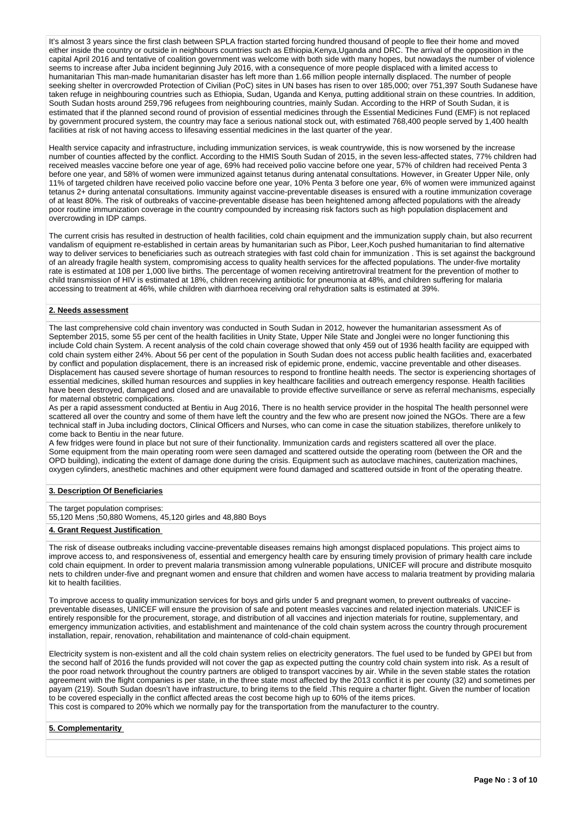It's almost 3 years since the first clash between SPLA fraction started forcing hundred thousand of people to flee their home and moved either inside the country or outside in neighbours countries such as Ethiopia,Kenya,Uganda and DRC. The arrival of the opposition in the capital April 2016 and tentative of coalition government was welcome with both side with many hopes, but nowadays the number of violence seems to increase after Juba incident beginning July 2016, with a consequence of more people displaced with a limited access to humanitarian This man-made humanitarian disaster has left more than 1.66 million people internally displaced. The number of people seeking shelter in overcrowded Protection of Civilian (PoC) sites in UN bases has risen to over 185,000; over 751,397 South Sudanese have taken refuge in neighbouring countries such as Ethiopia. Sudan, Uganda and Kenya, putting additional strain on these countries. In addition, South Sudan hosts around 259,796 refugees from neighbouring countries, mainly Sudan. According to the HRP of South Sudan, it is estimated that if the planned second round of provision of essential medicines through the Essential Medicines Fund (EMF) is not replaced by government procured system, the country may face a serious national stock out, with estimated 768,400 people served by 1,400 health facilities at risk of not having access to lifesaving essential medicines in the last quarter of the year.

Health service capacity and infrastructure, including immunization services, is weak countrywide, this is now worsened by the increase number of counties affected by the conflict. According to the HMIS South Sudan of 2015, in the seven less-affected states, 77% children had received measles vaccine before one year of age, 69% had received polio vaccine before one year, 57% of children had received Penta 3 before one year, and 58% of women were immunized against tetanus during antenatal consultations. However, in Greater Upper Nile, only 11% of targeted children have received polio vaccine before one year, 10% Penta 3 before one year, 6% of women were immunized against tetanus 2+ during antenatal consultations. Immunity against vaccine-preventable diseases is ensured with a routine immunization coverage of at least 80%. The risk of outbreaks of vaccine-preventable disease has been heightened among affected populations with the already poor routine immunization coverage in the country compounded by increasing risk factors such as high population displacement and overcrowding in IDP camps.

The current crisis has resulted in destruction of health facilities, cold chain equipment and the immunization supply chain, but also recurrent vandalism of equipment re-established in certain areas by humanitarian such as Pibor, Leer,Koch pushed humanitarian to find alternative way to deliver services to beneficiaries such as outreach strategies with fast cold chain for immunization . This is set against the background of an already fragile health system, compromising access to quality health services for the affected populations. The under-five mortality rate is estimated at 108 per 1,000 live births. The percentage of women receiving antiretroviral treatment for the prevention of mother to child transmission of HIV is estimated at 18%, children receiving antibiotic for pneumonia at 48%, and children suffering for malaria accessing to treatment at 46%, while children with diarrhoea receiving oral rehydration salts is estimated at 39%.

#### **2. Needs assessment**

The last comprehensive cold chain inventory was conducted in South Sudan in 2012, however the humanitarian assessment As of September 2015, some 55 per cent of the health facilities in Unity State, Upper Nile State and Jonglei were no longer functioning this include Cold chain System. A recent analysis of the cold chain coverage showed that only 459 out of 1936 health facility are equipped with cold chain system either 24%. About 56 per cent of the population in South Sudan does not access public health facilities and, exacerbated by conflict and population displacement, there is an increased risk of epidemic prone, endemic, vaccine preventable and other diseases. Displacement has caused severe shortage of human resources to respond to frontline health needs. The sector is experiencing shortages of essential medicines, skilled human resources and supplies in key healthcare facilities and outreach emergency response. Health facilities have been destroyed, damaged and closed and are unavailable to provide effective surveillance or serve as referral mechanisms, especially for maternal obstetric complications.

As per a rapid assessment conducted at Bentiu in Aug 2016, There is no health service provider in the hospital The health personnel were scattered all over the country and some of them have left the country and the few who are present now joined the NGOs. There are a few technical staff in Juba including doctors, Clinical Officers and Nurses, who can come in case the situation stabilizes, therefore unlikely to come back to Bentiu in the near future.

A few fridges were found in place but not sure of their functionality. Immunization cards and registers scattered all over the place. Some equipment from the main operating room were seen damaged and scattered outside the operating room (between the OR and the OPD building), indicating the extent of damage done during the crisis. Equipment such as autoclave machines, cauterization machines, oxygen cylinders, anesthetic machines and other equipment were found damaged and scattered outside in front of the operating theatre.

#### **3. Description Of Beneficiaries**

The target population comprises: 55,120 Mens ;50,880 Womens, 45,120 girles and 48,880 Boys

#### **4. Grant Request Justification**

The risk of disease outbreaks including vaccine-preventable diseases remains high amongst displaced populations. This project aims to improve access to, and responsiveness of, essential and emergency health care by ensuring timely provision of primary health care include cold chain equipment. In order to prevent malaria transmission among vulnerable populations. UNICEF will procure and distribute mosquito cold chain equipment. In order to prevent malaria transmission among vulnerable popul nets to children under-five and pregnant women and ensure that children and women have access to malaria treatment by providing malaria kit to health facilities.

To improve access to quality immunization services for boys and girls under 5 and pregnant women, to prevent outbreaks of vaccinepreventable diseases, UNICEF will ensure the provision of safe and potent measles vaccines and related injection materials. UNICEF is entirely responsible for the procurement, storage, and distribution of all vaccines and injection materials for routine, supplementary, and emergency immunization activities, and establishment and maintenance of the cold chain system across the country through procurement installation, repair, renovation, rehabilitation and maintenance of cold-chain equipment.

Electricity system is non-existent and all the cold chain system relies on electricity generators. The fuel used to be funded by GPEI but from the second half of 2016 the funds provided will not cover the gap as expected putting the country cold chain system into risk. As a result of the poor road network throughout the country partners are obliged to transport vaccines by air. While in the seven stable states the rotation agreement with the flight companies is per state, in the three state most affected by the 2013 conflict it is per county (32) and sometimes per payam (219). South Sudan doesn't have infrastructure, to bring items to the field .This require a charter flight. Given the number of location to be covered especially in the conflict affected areas the cost become high up to 60% of the items prices. This cost is compared to 20% which we normally pay for the transportation from the manufacturer to the country.

#### **5. Complementarity**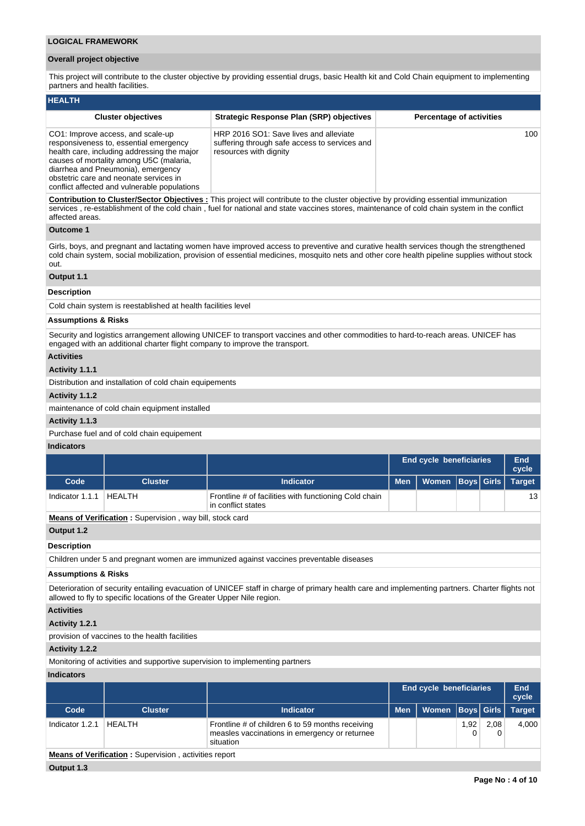## **Overall project objective**

This project will contribute to the cluster objective by providing essential drugs, basic Health kit and Cold Chain equipment to implementing partners and health facilities.

| <b>HEALTH</b>                                                                                                                                                                                                                                                                                         |                                                                                                                   |                                 |  |  |  |  |  |  |  |  |  |
|-------------------------------------------------------------------------------------------------------------------------------------------------------------------------------------------------------------------------------------------------------------------------------------------------------|-------------------------------------------------------------------------------------------------------------------|---------------------------------|--|--|--|--|--|--|--|--|--|
| <b>Cluster objectives</b>                                                                                                                                                                                                                                                                             | Strategic Response Plan (SRP) objectives                                                                          | <b>Percentage of activities</b> |  |  |  |  |  |  |  |  |  |
| CO1: Improve access, and scale-up<br>responsiveness to, essential emergency<br>health care, including addressing the major<br>causes of mortality among U5C (malaria,<br>diarrhea and Pneumonia), emergency<br>obstetric care and neonate services in<br>conflict affected and vulnerable populations | HRP 2016 SO1: Save lives and alleviate<br>suffering through safe access to services and<br>resources with dignity | 100 <sup>°</sup>                |  |  |  |  |  |  |  |  |  |

**Contribution to Cluster/Sector Objectives :** This project will contribute to the cluster objective by providing essential immunization services , re-establishment of the cold chain , fuel for national and state vaccines stores, maintenance of cold chain system in the conflict affected areas.

## **Outcome 1**

Girls, boys, and pregnant and lactating women have improved access to preventive and curative health services though the strengthened cold chain system, social mobilization, provision of essential medicines, mosquito nets and other core health pipeline supplies without stock out.

# **Output 1.1**

#### **Description**

Cold chain system is reestablished at health facilities level

## **Assumptions & Risks**

Security and logistics arrangement allowing UNICEF to transport vaccines and other commodities to hard-to-reach areas. UNICEF has engaged with an additional charter flight company to improve the transport.

## **Activities**

## **Activity 1.1.1**

Distribution and installation of cold chain equipements

#### **Activity 1.1.2**

maintenance of cold chain equipment installed

#### **Activity 1.1.3**

Purchase fuel and of cold chain equipement

#### **Indicators**

|                 |                                                                 |                                                                             | <b>End cycle beneficiaries</b> |                      |  |  | End<br>cycle  |
|-----------------|-----------------------------------------------------------------|-----------------------------------------------------------------------------|--------------------------------|----------------------|--|--|---------------|
| Code            | <b>Cluster</b>                                                  | <b>Indicator</b>                                                            | <b>Men</b>                     | Women   Boys   Girls |  |  | <b>Target</b> |
| Indicator 1.1.1 | HEALTH                                                          | Frontline # of facilities with functioning Cold chain<br>in conflict states |                                |                      |  |  | 13            |
|                 | <b>Means of Verification:</b> Supervision, way bill, stock card |                                                                             |                                |                      |  |  |               |
| Output 1.2      |                                                                 |                                                                             |                                |                      |  |  |               |

#### **Description**

Children under 5 and pregnant women are immunized against vaccines preventable diseases

#### **Assumptions & Risks**

Deterioration of security entailing evacuation of UNICEF staff in charge of primary health care and implementing partners. Charter flights not allowed to fly to specific locations of the Greater Upper Nile region.

**Activities**

#### **Activity 1.2.1**

provision of vaccines to the health facilities

# **Activity 1.2.2**

Monitoring of activities and supportive supervision to implementing partners

## **Indicators**

|                 |                |                                                                                                                |            | <b>End cycle beneficiaries</b> |      |      | End<br>cycle  |
|-----------------|----------------|----------------------------------------------------------------------------------------------------------------|------------|--------------------------------|------|------|---------------|
| Code            | <b>Cluster</b> | <b>Indicator</b>                                                                                               | <b>Men</b> | Women   Boys   Girls           |      |      | <b>Target</b> |
| Indicator 1.2.1 | HEALTH         | Frontline # of children 6 to 59 months receiving<br>measles vaccinations in emergency or returnee<br>situation |            |                                | 1,92 | 2,08 | 4,000         |

**Means of Verification :** Supervision , activities report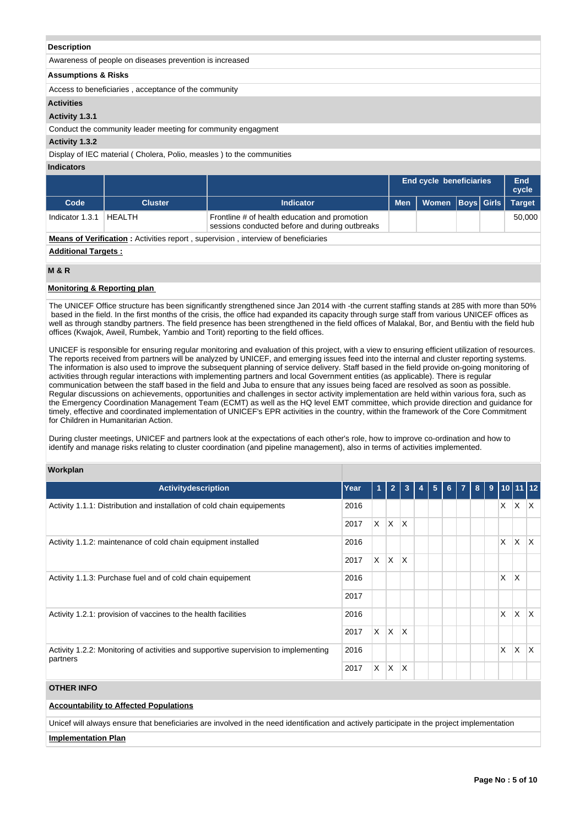#### **Description**

| Awareness of people on diseases prevention is increased |  |  |  |
|---------------------------------------------------------|--|--|--|
|                                                         |  |  |  |

## **Assumptions & Risks**

Access to beneficiaries , acceptance of the community

## **Activities**

## **Activity 1.3.1**

Conduct the community leader meeting for community engagment

## **Activity 1.3.2**

Display of IEC material ( Cholera, Polio, measles ) to the communities

## **Indicators**

|                 |                |                                                                                                 | <b>End cycle beneficiaries</b> |  | End<br>cycle |
|-----------------|----------------|-------------------------------------------------------------------------------------------------|--------------------------------|--|--------------|
| Code            | <b>Cluster</b> | <b>Indicator</b>                                                                                | Men   Women   Boys   Girls   \ |  | Target       |
| Indicator 1.3.1 | HEALTH         | Frontline # of health education and promotion<br>sessions conducted before and during outbreaks |                                |  | 50.000       |

## **Means of Verification**: Activities report, supervision, interview of beneficiaries

## **Additional Targets :**

## **M & R**

#### **Monitoring & Reporting plan**

The UNICEF Office structure has been significantly strengthened since Jan 2014 with -the current staffing stands at 285 with more than 50% based in the field. In the first months of the crisis, the office had expanded its capacity through surge staff from various UNICEF offices as well as through standby partners. The field presence has been strengthened in the field offices of Malakal, Bor, and Bentiu with the field hub offices (Kwajok, Aweil, Rumbek, Yambio and Torit) reporting to the field offices.

UNICEF is responsible for ensuring regular monitoring and evaluation of this project, with a view to ensuring efficient utilization of resources. The reports received from partners will be analyzed by UNICEF, and emerging issues feed into the internal and cluster reporting systems. The information is also used to improve the subsequent planning of service delivery. Staff based in the field provide on-going monitoring of activities through regular interactions with implementing partners and local Government entities (as applicable). There is regular communication between the staff based in the field and Juba to ensure that any issues being faced are resolved as soon as possible. Regular discussions on achievements, opportunities and challenges in sector activity implementation are held within various fora, such as the Emergency Coordination Management Team (ECMT) as well as the HQ level EMT committee, which provide direction and guidance for timely, effective and coordinated implementation of UNICEF's EPR activities in the country, within the framework of the Core Commitment for Children in Humanitarian Action.

During cluster meetings, UNICEF and partners look at the expectations of each other's role, how to improve co-ordination and how to identify and manage risks relating to cluster coordination (and pipeline management), also in terms of activities implemented.

## **Workplan**

| <b>Activitydescription</b>                                                                      | Year | 11 | $\overline{2}$ | 3   | 4 | 5 <sub>5</sub> | 6 <sup>1</sup> | <b>7</b> I | -8 I | 9 |          |              | $110$ 11 12             |
|-------------------------------------------------------------------------------------------------|------|----|----------------|-----|---|----------------|----------------|------------|------|---|----------|--------------|-------------------------|
| Activity 1.1.1: Distribution and installation of cold chain equipements                         | 2016 |    |                |     |   |                |                |            |      |   | X        | X.           | $\mathsf{X}$            |
|                                                                                                 | 2017 | X. | ΙX.            | ΙX. |   |                |                |            |      |   |          |              |                         |
| Activity 1.1.2: maintenance of cold chain equipment installed                                   | 2016 |    |                |     |   |                |                |            |      |   | $\times$ | $\mathsf{X}$ | İΧ                      |
|                                                                                                 | 2017 | X. | IX.            | ΙX. |   |                |                |            |      |   |          |              |                         |
| Activity 1.1.3: Purchase fuel and of cold chain equipement                                      | 2016 |    |                |     |   |                |                |            |      |   | X        | $\times$     |                         |
|                                                                                                 | 2017 |    |                |     |   |                |                |            |      |   |          |              |                         |
| Activity 1.2.1: provision of vaccines to the health facilities                                  | 2016 |    |                |     |   |                |                |            |      |   | $\times$ | ΙX.          | $\mathsf{I} \mathsf{X}$ |
|                                                                                                 |      | X. | ΙX.            | ΙX. |   |                |                |            |      |   |          |              |                         |
| Activity 1.2.2: Monitoring of activities and supportive supervision to implementing<br>partners | 2016 |    |                |     |   |                |                |            |      |   | $\times$ | X            | ΙX                      |
|                                                                                                 |      | X  | X.             | ΙX  |   |                |                |            |      |   |          |              |                         |

## **OTHER INFO**

# **Accountability to Affected Populations**

Unicef will always ensure that beneficiaries are involved in the need identification and actively participate in the project implementation

#### **Implementation Plan**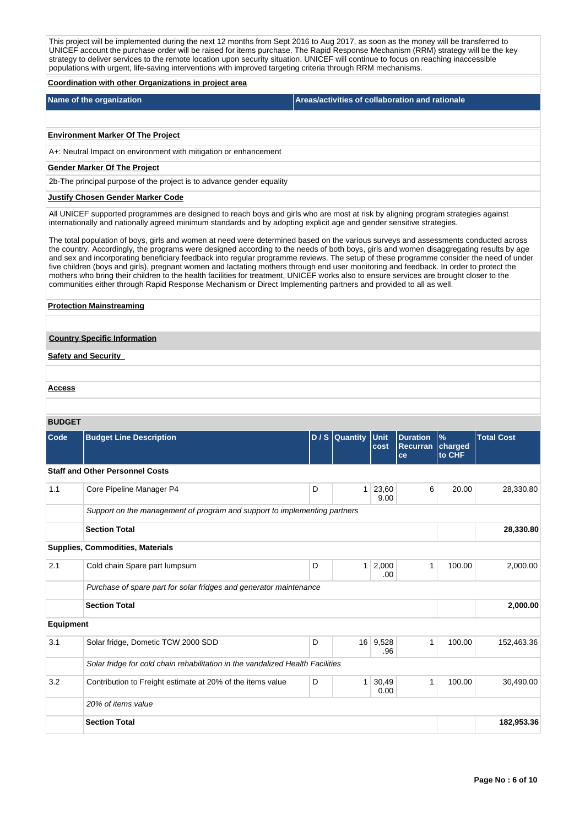This project will be implemented during the next 12 months from Sept 2016 to Aug 2017, as soon as the money will be transferred to UNICEF account the purchase order will be raised for items purchase. The Rapid Response Mechanism (RRM) strategy will be the key strategy to deliver services to the remote location upon security situation. UNICEF will continue to focus on reaching inaccessible populations with urgent, life-saving interventions with improved targeting criteria through RRM mechanisms.

#### **Coordination with other Organizations in project area**

| Name of the organization | Areas/activities of collaboration and rationale |
|--------------------------|-------------------------------------------------|
|                          |                                                 |

# **Environment Marker Of The Project**

A+: Neutral Impact on environment with mitigation or enhancement

## **Gender Marker Of The Project**

2b-The principal purpose of the project is to advance gender equality

## **Justify Chosen Gender Marker Code**

All UNICEF supported programmes are designed to reach boys and girls who are most at risk by aligning program strategies against internationally and nationally agreed minimum standards and by adopting explicit age and gender sensitive strategies.

The total population of boys, girls and women at need were determined based on the various surveys and assessments conducted across the country. Accordingly, the programs were designed according to the needs of both boys, girls and women disaggregating results by age and sex and incorporating beneficiary feedback into regular programme reviews. The setup of these programme consider the need of under five children (boys and girls), pregnant women and lactating mothers through end user monitoring and feedback. In order to protect the mothers who bring their children to the health facilities for treatment, UNICEF works also to ensure services are brought closer to the communities either through Rapid Response Mechanism or Direct Implementing partners and provided to all as well.

#### **Protection Mainstreaming**

## **Country Specific Information**

**Safety and Security** 

**Access**

#### **BUDGET**

| Code             | <b>Budget Line Description</b>                                                 |   | D / S Quantity Unit | cost            | <b>Duration</b><br><b>Recurran</b><br>ce | $\frac{9}{6}$<br>charged<br>to CHF | <b>Total Cost</b> |  |  |  |  |
|------------------|--------------------------------------------------------------------------------|---|---------------------|-----------------|------------------------------------------|------------------------------------|-------------------|--|--|--|--|
|                  | <b>Staff and Other Personnel Costs</b>                                         |   |                     |                 |                                          |                                    |                   |  |  |  |  |
| 1.1              | Core Pipeline Manager P4                                                       | D | 1 <sup>1</sup>      | 23,60<br>9.00   | 6                                        | 20.00                              | 28,330.80         |  |  |  |  |
|                  | Support on the management of program and support to implementing partners      |   |                     |                 |                                          |                                    |                   |  |  |  |  |
|                  | <b>Section Total</b>                                                           |   | 28,330.80           |                 |                                          |                                    |                   |  |  |  |  |
|                  | <b>Supplies, Commodities, Materials</b>                                        |   |                     |                 |                                          |                                    |                   |  |  |  |  |
| 2.1              | Cold chain Spare part lumpsum                                                  | D | 1 <sup>1</sup>      | 2,000<br>.00    | 1                                        | 100.00                             | 2,000.00          |  |  |  |  |
|                  | Purchase of spare part for solar fridges and generator maintenance             |   |                     |                 |                                          |                                    |                   |  |  |  |  |
|                  | <b>Section Total</b>                                                           |   | 2,000.00            |                 |                                          |                                    |                   |  |  |  |  |
| <b>Equipment</b> |                                                                                |   |                     |                 |                                          |                                    |                   |  |  |  |  |
| 3.1              | Solar fridge, Dometic TCW 2000 SDD                                             | D |                     | 16 9,528<br>.96 | 1                                        | 100.00                             | 152,463.36        |  |  |  |  |
|                  | Solar fridge for cold chain rehabilitation in the vandalized Health Facilities |   |                     |                 |                                          |                                    |                   |  |  |  |  |
| 3.2              | Contribution to Freight estimate at 20% of the items value                     | D | 1                   | 30,49<br>0.00   | 1                                        | 100.00                             | 30,490.00         |  |  |  |  |
|                  | 20% of items value                                                             |   |                     |                 |                                          |                                    |                   |  |  |  |  |
|                  | <b>Section Total</b>                                                           |   | 182,953.36          |                 |                                          |                                    |                   |  |  |  |  |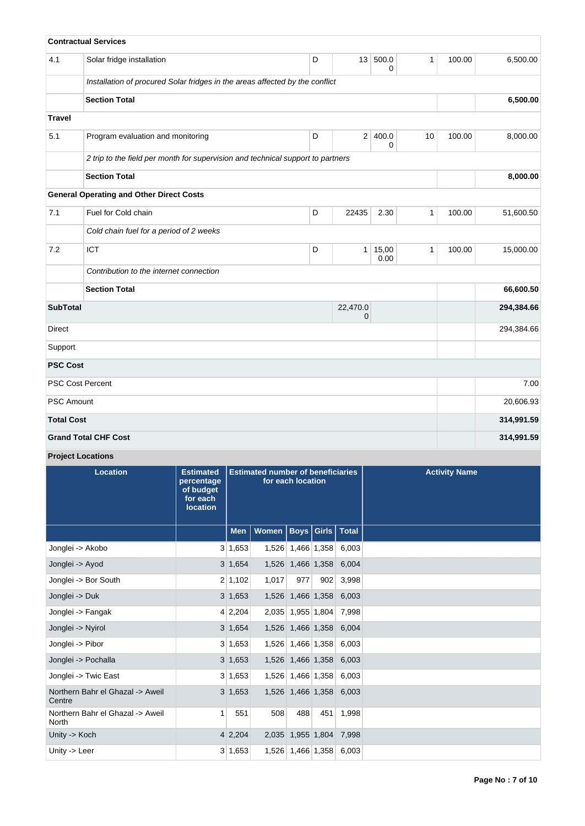|                   | <b>Contractual Services</b>                                                     |   |                 |               |              |        |            |
|-------------------|---------------------------------------------------------------------------------|---|-----------------|---------------|--------------|--------|------------|
| 4.1               | Solar fridge installation                                                       | D | 13 <sup>1</sup> | 500.0<br>0    | 1            | 100.00 | 6,500.00   |
|                   | Installation of procured Solar fridges in the areas affected by the conflict    |   |                 |               |              |        |            |
|                   | <b>Section Total</b>                                                            |   |                 | 6,500.00      |              |        |            |
| <b>Travel</b>     |                                                                                 |   |                 |               |              |        |            |
| 5.1               | Program evaluation and monitoring                                               | D |                 | 2 400.0<br>0  | 10           | 100.00 | 8,000.00   |
|                   | 2 trip to the field per month for supervision and technical support to partners |   |                 |               |              |        |            |
|                   | <b>Section Total</b>                                                            |   |                 | 8,000.00      |              |        |            |
|                   | <b>General Operating and Other Direct Costs</b>                                 |   |                 |               |              |        |            |
| 7.1               | Fuel for Cold chain                                                             | D | 22435           | 2.30          | 1            | 100.00 | 51,600.50  |
|                   | Cold chain fuel for a period of 2 weeks                                         |   |                 |               |              |        |            |
| 7.2               | ICT                                                                             | D | 1               | 15,00<br>0.00 | $\mathbf{1}$ | 100.00 | 15,000.00  |
|                   | Contribution to the internet connection                                         |   |                 |               |              |        |            |
|                   | <b>Section Total</b>                                                            |   |                 |               |              |        | 66,600.50  |
| <b>SubTotal</b>   |                                                                                 |   | 294,384.66      |               |              |        |            |
| Direct            |                                                                                 |   | 294,384.66      |               |              |        |            |
| Support           |                                                                                 |   |                 |               |              |        |            |
| <b>PSC Cost</b>   |                                                                                 |   |                 |               |              |        |            |
|                   | <b>PSC Cost Percent</b>                                                         |   |                 |               |              |        | 7.00       |
| <b>PSC Amount</b> |                                                                                 |   |                 |               |              |        | 20,606.93  |
| <b>Total Cost</b> |                                                                                 |   |                 |               |              |        | 314,991.59 |
|                   | <b>Grand Total CHF Cost</b>                                                     |   |                 |               |              |        | 314,991.59 |

**Project Locations**

| <b>Location</b>                                  | <b>Estimated</b><br>percentage<br>of budget<br>for each<br><b>location</b> | <b>Estimated number of beneficiaries</b><br>for each location |                              |                         |     |                         | <b>Activity Name</b> |
|--------------------------------------------------|----------------------------------------------------------------------------|---------------------------------------------------------------|------------------------------|-------------------------|-----|-------------------------|----------------------|
|                                                  |                                                                            | Men                                                           | Women   Boys   Girls   Total |                         |     |                         |                      |
| Jonglei -> Akobo                                 |                                                                            | 3 1,653                                                       |                              | 1,526 1,466 1,358       |     | 6,003                   |                      |
| Jonglei -> Ayod                                  |                                                                            | 3 1,654                                                       |                              | 1,526 1,466 1,358       |     | 6,004                   |                      |
| Jonglei -> Bor South                             |                                                                            | 2 1,102                                                       | 1,017                        | 977                     | 902 | 3,998                   |                      |
| Jonglei -> Duk                                   |                                                                            | $3 \, 1,653$                                                  |                              | 1,526 1,466 1,358       |     | 6,003                   |                      |
| Jonglei -> Fangak                                |                                                                            | 4 2,204                                                       |                              | 2,035 1,955 1,804       |     | 7,998                   |                      |
| Jonglei -> Nyirol                                |                                                                            | 3 1,654                                                       |                              | 1,526 1,466 1,358       |     | 6,004                   |                      |
| Jonglei -> Pibor                                 |                                                                            | 3 1,653                                                       |                              | 1,526 1,466 1,358       |     | 6,003                   |                      |
| Jonglei -> Pochalla                              |                                                                            | $3 \; 1,653$                                                  |                              | 1,526 1,466 1,358       |     | 6,003                   |                      |
| Jonglei -> Twic East                             |                                                                            | 3 1,653                                                       |                              |                         |     | 1,526 1,466 1,358 6,003 |                      |
| Northern Bahr el Ghazal -> Aweil<br>Centre       |                                                                            | $3 \; 1,653$                                                  |                              |                         |     | 1,526 1,466 1,358 6,003 |                      |
| Northern Bahr el Ghazal -> Aweil<br><b>North</b> | $\mathbf{1}$                                                               | 551                                                           | 508                          | 488                     | 451 | 1,998                   |                      |
| Unity -> Koch                                    |                                                                            | $4\,2,204$                                                    |                              | 2,035 1,955 1,804 7,998 |     |                         |                      |
| Unity -> Leer                                    |                                                                            | 3 1,653                                                       |                              | 1,526 1,466 1,358       |     | 6,003                   |                      |